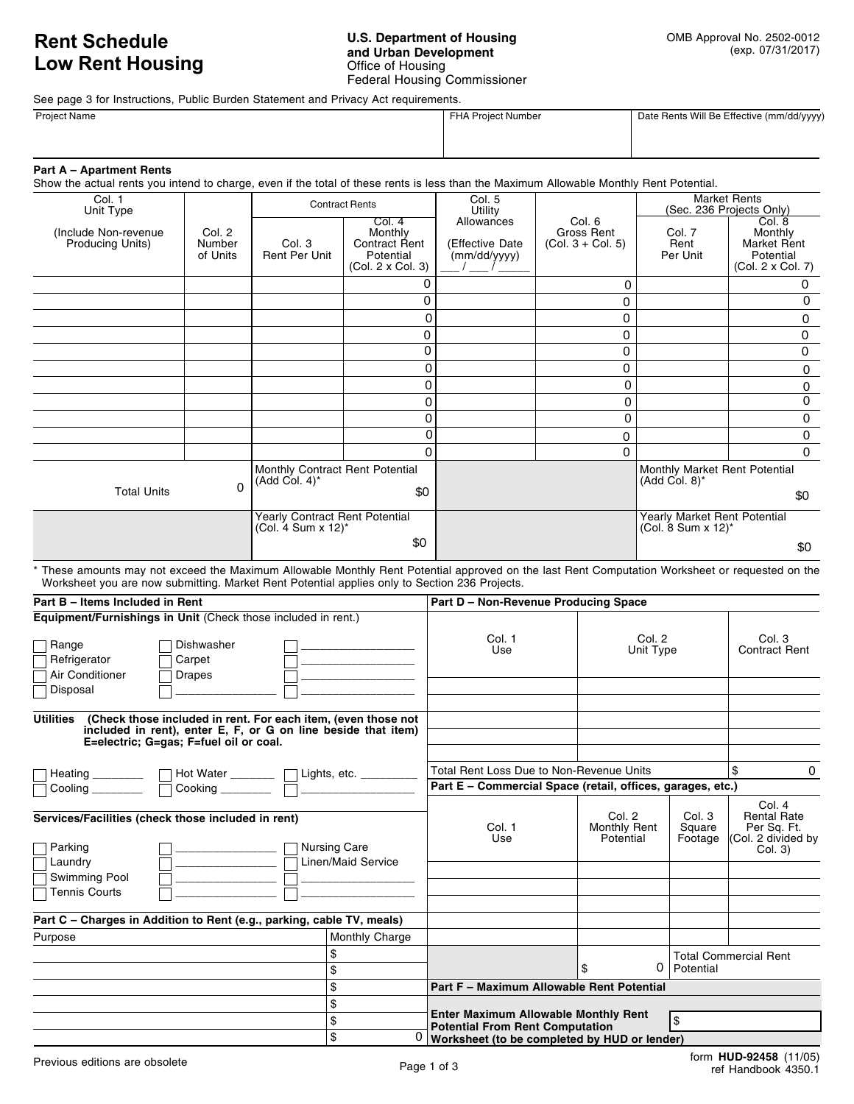## **Low Rent Housing Low Rent Housing Rent Schedule**

## **Rent Schedule Charle Computer Computer Computer** U.S. Department of Housing **Computer Computer Computer Comput**<br> **A Computer Computer Computer Computer Computer Computer Computer Computer Computer Computer Computer Comp and Urban Development and Urban Development** Office of Housing Office of Housing Federal Housing Commissioner Federal Housing Commissioner

See page 3 for Instructions, Public Burden Statement and Privacy Act requirements. See page 3 for Instructions, Public Burden Statement and Privacy Act requirements.

| <b>Project Name</b> | FHA Project Number | Date Rents Will Be Effective (mm/dd/yyyy) |
|---------------------|--------------------|-------------------------------------------|
|                     |                    |                                           |
|                     |                    |                                           |

|  | Part A - Apartment Rents |  |
|--|--------------------------|--|
|--|--------------------------|--|

Show the actual rents you intend to charge, even if the total of these rents is less than the Maximum Allowable Monthly Rent Potential.

| Col. 1<br>Unit Type                                                                                                                                                                                                                                                                       |                              | <b>Contract Rents</b>                                      |                                                                     | Col. 5<br>Utility                             |                                             | <b>Market Rents</b><br>(Sec. 236 Projects Only)                  |                                                                           |
|-------------------------------------------------------------------------------------------------------------------------------------------------------------------------------------------------------------------------------------------------------------------------------------------|------------------------------|------------------------------------------------------------|---------------------------------------------------------------------|-----------------------------------------------|---------------------------------------------|------------------------------------------------------------------|---------------------------------------------------------------------------|
| (Include Non-revenue)<br>Producing Units)                                                                                                                                                                                                                                                 | Col. 2<br>Number<br>of Units | Col. 3<br><b>Rent Per Unit</b>                             | Col.4<br>Monthly<br>Contract Rent<br>Potential<br>(Col. 2 x Col. 3) | Allowances<br>(Effective Date<br>(mm/dd/yyyy) | Col. 6<br>Gross Rent<br>$(Col. 3 + Col. 5)$ | Col. 7<br>Rent<br>Per Unit                                       | Col. 8<br>Monthly<br><b>Market Rent</b><br>Potential<br>(Col. 2 x Col. 7) |
|                                                                                                                                                                                                                                                                                           |                              |                                                            | ŋ                                                                   |                                               | 0                                           |                                                                  |                                                                           |
|                                                                                                                                                                                                                                                                                           |                              |                                                            |                                                                     |                                               | 0                                           |                                                                  | 0                                                                         |
|                                                                                                                                                                                                                                                                                           |                              |                                                            | 0                                                                   |                                               | 0                                           |                                                                  | 0                                                                         |
|                                                                                                                                                                                                                                                                                           |                              |                                                            | 0                                                                   |                                               | 0                                           |                                                                  | 0                                                                         |
|                                                                                                                                                                                                                                                                                           |                              |                                                            | 0                                                                   |                                               | 0                                           |                                                                  | 0                                                                         |
|                                                                                                                                                                                                                                                                                           |                              |                                                            | 0                                                                   |                                               | 0                                           |                                                                  | $\Omega$                                                                  |
|                                                                                                                                                                                                                                                                                           |                              |                                                            |                                                                     |                                               | 0                                           |                                                                  | 0                                                                         |
|                                                                                                                                                                                                                                                                                           |                              |                                                            |                                                                     |                                               | $\mathbf 0$                                 |                                                                  | $\Omega$                                                                  |
|                                                                                                                                                                                                                                                                                           |                              |                                                            |                                                                     |                                               | 0                                           |                                                                  | 0                                                                         |
|                                                                                                                                                                                                                                                                                           |                              |                                                            |                                                                     |                                               | 0                                           |                                                                  | 0                                                                         |
|                                                                                                                                                                                                                                                                                           |                              |                                                            |                                                                     |                                               | 0                                           |                                                                  | $\mathbf 0$                                                               |
| $\Omega$                                                                                                                                                                                                                                                                                  |                              | Monthly Contract Rent Potential<br>(Add Col. $4$ )*<br>\$0 |                                                                     |                                               |                                             | Monthly Market Rent Potential<br>$(Add Col. 8)^*$                |                                                                           |
| <b>Total Units</b>                                                                                                                                                                                                                                                                        |                              |                                                            |                                                                     |                                               |                                             |                                                                  | \$0                                                                       |
|                                                                                                                                                                                                                                                                                           |                              | Yearly Contract Rent Potential<br>(Col. 4 Sum x 12)*       |                                                                     |                                               |                                             | Yearly Market Rent Potential<br>(Col. 8 Sum $x$ 12) <sup>*</sup> |                                                                           |
|                                                                                                                                                                                                                                                                                           |                              |                                                            | \$0                                                                 |                                               |                                             |                                                                  | \$0                                                                       |
| These amounts may not exceed the Maximum Allowable Monthly Rent Potential approved on the last Rent Computation Worksheet or requested on the<br>Worksheet you are now submitting. Market Rent Potential applies only to Section 236 Projects.                                            |                              |                                                            |                                                                     |                                               |                                             |                                                                  |                                                                           |
| $\mathbf{R}$ and $\mathbf{R}$ and $\mathbf{R}$ are sense in the sense in the sense in the sense in the sense in the sense in the sense in the sense in the sense in the sense in the sense in the sense in the sense in the sense in the<br>Brand Brook and the character of the Brand Co |                              |                                                            |                                                                     |                                               |                                             |                                                                  |                                                                           |

|                                                                                                                                                                                                                                                  |  | \$0                 |                                                            |                                     |                            | \$0                                                                            |
|--------------------------------------------------------------------------------------------------------------------------------------------------------------------------------------------------------------------------------------------------|--|---------------------|------------------------------------------------------------|-------------------------------------|----------------------------|--------------------------------------------------------------------------------|
| * These amounts may not exceed the Maximum Allowable Monthly Rent Potential approved on the last Rent Computation Worksheet or requested on the<br>Worksheet you are now submitting. Market Rent Potential applies only to Section 236 Projects. |  |                     |                                                            |                                     |                            |                                                                                |
| Part B - Items Included in Rent                                                                                                                                                                                                                  |  |                     | Part D - Non-Revenue Producing Space                       |                                     |                            |                                                                                |
| Equipment/Furnishings in Unit (Check those included in rent.)                                                                                                                                                                                    |  |                     |                                                            |                                     |                            |                                                                                |
| <b>Dishwasher</b><br>Range<br>Refrigerator<br>Carpet<br>Air Conditioner<br><b>Drapes</b><br>Disposal                                                                                                                                             |  |                     | Col. 1<br>Use                                              | Col. 2<br>Unit Type                 |                            | Col. 3<br><b>Contract Rent</b>                                                 |
| <b>Utilities</b><br>(Check those included in rent. For each item, (even those not<br>included in rent), enter E, F, or G on line beside that item)<br>E=electric; G=qas; F=fuel oil or coal.                                                     |  |                     |                                                            |                                     |                            |                                                                                |
| Heating __________   Hot Water _______   Lights, etc. ________                                                                                                                                                                                   |  |                     | Total Rent Loss Due to Non-Revenue Units                   |                                     |                            | \$<br>0                                                                        |
| Cooking $\begin{array}{ccc}\n\overline{\phantom{aa}}\n\end{array}$<br>$\mathsf{Cooling$                                                                                                                                                          |  |                     | Part E - Commercial Space (retail, offices, garages, etc.) |                                     |                            |                                                                                |
| Services/Facilities (check those included in rent)<br>Parking                                                                                                                                                                                    |  | <b>Nursing Care</b> | Col. 1<br>Use                                              | Col. 2<br>Monthly Rent<br>Potential | Col.3<br>Square<br>Footage | Col. 4<br><b>Rental Rate</b><br>Per Sq. Ft.<br>$ COI. 2$ divided by<br>Col. 3) |
| Laundry<br>Swimming Pool<br><b>Tennis Courts</b>                                                                                                                                                                                                 |  | Linen/Maid Service  |                                                            |                                     |                            |                                                                                |
| Part C - Charges in Addition to Rent (e.g., parking, cable TV, meals)                                                                                                                                                                            |  |                     |                                                            |                                     |                            |                                                                                |
| Purpose                                                                                                                                                                                                                                          |  | Monthly Charge      |                                                            |                                     |                            |                                                                                |
|                                                                                                                                                                                                                                                  |  | \$                  |                                                            | \$<br>0                             | Potential                  | <b>Total Commercial Rent</b>                                                   |
|                                                                                                                                                                                                                                                  |  | \$                  | Part F - Maximum Allowable Rent Potential                  |                                     |                            |                                                                                |
|                                                                                                                                                                                                                                                  |  | \$                  |                                                            |                                     |                            |                                                                                |
|                                                                                                                                                                                                                                                  |  | \$<br>\$            | <b>Enter Maximum Allowable Monthly Rent</b>                |                                     | \$                         |                                                                                |
|                                                                                                                                                                                                                                                  |  | \$<br>0             | <b>Potential From Rent Computation</b>                     |                                     |                            |                                                                                |
|                                                                                                                                                                                                                                                  |  |                     | Worksheet (to be completed by HUD or lender)               |                                     |                            |                                                                                |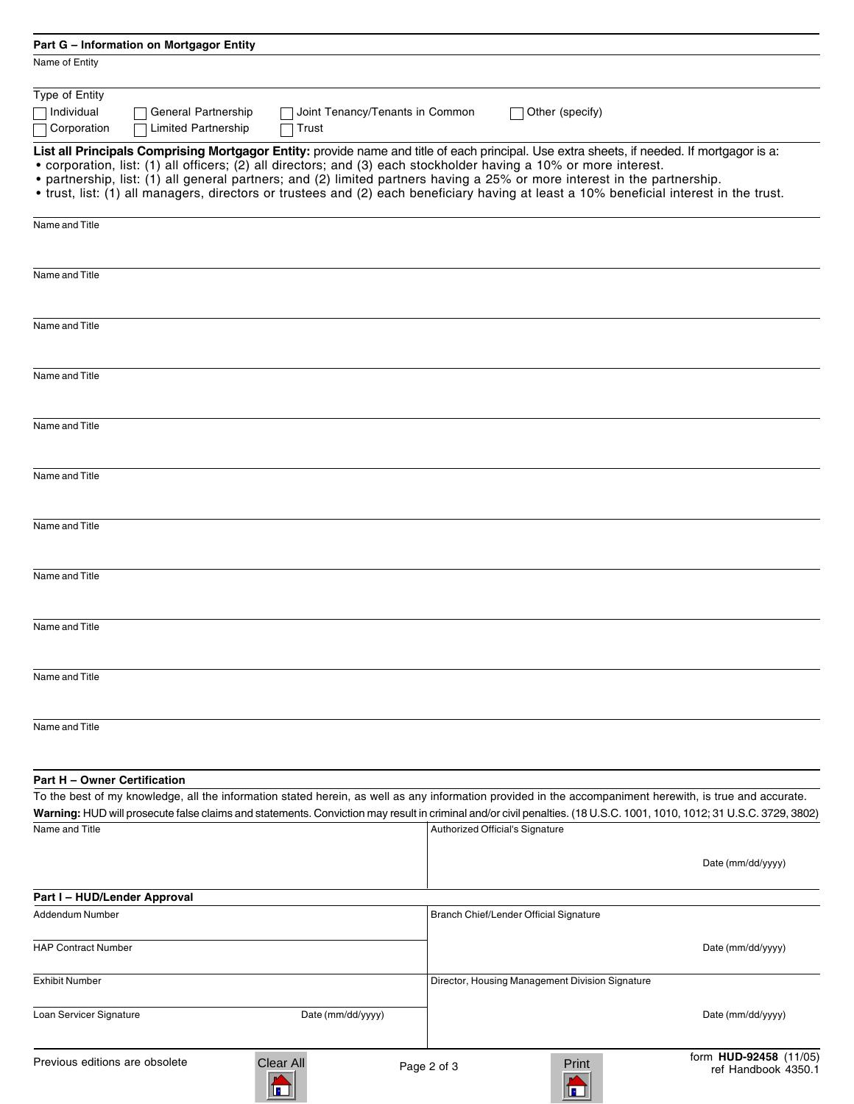| Part G - Information on Mortgagor Entity                                                                                                                              |                   |                                 |                                                 |                                               |
|-----------------------------------------------------------------------------------------------------------------------------------------------------------------------|-------------------|---------------------------------|-------------------------------------------------|-----------------------------------------------|
| Name of Entity                                                                                                                                                        |                   |                                 |                                                 |                                               |
| Type of Entity                                                                                                                                                        |                   |                                 |                                                 |                                               |
| Individual<br>General Partnership                                                                                                                                     |                   | Joint Tenancy/Tenants in Common | Other (specify)                                 |                                               |
| Corporation<br><b>Limited Partnership</b>                                                                                                                             | Trust             |                                 |                                                 |                                               |
| List all Principals Comprising Mortgagor Entity: provide name and title of each principal. Use extra sheets, if needed. If mortgagor is a:                            |                   |                                 |                                                 |                                               |
| • corporation, list: (1) all officers; (2) all directors; and (3) each stockholder having a 10% or more interest.                                                     |                   |                                 |                                                 |                                               |
| • partnership, list: (1) all general partners; and (2) limited partners having a 25% or more interest in the partnership.                                             |                   |                                 |                                                 |                                               |
| • trust, list: (1) all managers, directors or trustees and (2) each beneficiary having at least a 10% beneficial interest in the trust.                               |                   |                                 |                                                 |                                               |
| Name and Title                                                                                                                                                        |                   |                                 |                                                 |                                               |
|                                                                                                                                                                       |                   |                                 |                                                 |                                               |
| Name and Title                                                                                                                                                        |                   |                                 |                                                 |                                               |
|                                                                                                                                                                       |                   |                                 |                                                 |                                               |
| Name and Title                                                                                                                                                        |                   |                                 |                                                 |                                               |
|                                                                                                                                                                       |                   |                                 |                                                 |                                               |
| Name and Title                                                                                                                                                        |                   |                                 |                                                 |                                               |
|                                                                                                                                                                       |                   |                                 |                                                 |                                               |
| Name and Title                                                                                                                                                        |                   |                                 |                                                 |                                               |
|                                                                                                                                                                       |                   |                                 |                                                 |                                               |
| Name and Title                                                                                                                                                        |                   |                                 |                                                 |                                               |
|                                                                                                                                                                       |                   |                                 |                                                 |                                               |
| Name and Title                                                                                                                                                        |                   |                                 |                                                 |                                               |
|                                                                                                                                                                       |                   |                                 |                                                 |                                               |
| Name and Title                                                                                                                                                        |                   |                                 |                                                 |                                               |
|                                                                                                                                                                       |                   |                                 |                                                 |                                               |
| Name and Title                                                                                                                                                        |                   |                                 |                                                 |                                               |
|                                                                                                                                                                       |                   |                                 |                                                 |                                               |
| Name and Title                                                                                                                                                        |                   |                                 |                                                 |                                               |
|                                                                                                                                                                       |                   |                                 |                                                 |                                               |
| Name and Title                                                                                                                                                        |                   |                                 |                                                 |                                               |
|                                                                                                                                                                       |                   |                                 |                                                 |                                               |
| Part H - Owner Certification                                                                                                                                          |                   |                                 |                                                 |                                               |
| To the best of my knowledge, all the information stated herein, as well as any information provided in the accompaniment herewith, is true and accurate.              |                   |                                 |                                                 |                                               |
| Warning: HUD will prosecute false claims and statements. Conviction may result in criminal and/or civil penalties. (18 U.S.C. 1001, 1010, 1012; 31 U.S.C. 3729, 3802) |                   |                                 |                                                 |                                               |
| Name and Title                                                                                                                                                        |                   | Authorized Official's Signature |                                                 |                                               |
|                                                                                                                                                                       |                   |                                 |                                                 |                                               |
|                                                                                                                                                                       |                   |                                 |                                                 | Date (mm/dd/yyyy)                             |
| Part I - HUD/Lender Approval                                                                                                                                          |                   |                                 |                                                 |                                               |
| Addendum Number                                                                                                                                                       |                   |                                 | Branch Chief/Lender Official Signature          |                                               |
| <b>HAP Contract Number</b>                                                                                                                                            |                   |                                 |                                                 |                                               |
|                                                                                                                                                                       |                   |                                 |                                                 | Date (mm/dd/yyyy)                             |
| <b>Exhibit Number</b>                                                                                                                                                 |                   |                                 | Director, Housing Management Division Signature |                                               |
| Loan Servicer Signature                                                                                                                                               | Date (mm/dd/yyyy) |                                 |                                                 | Date (mm/dd/yyyy)                             |
|                                                                                                                                                                       |                   |                                 |                                                 |                                               |
| Previous editions are obsolete                                                                                                                                        | Clear All         | Page 2 of 3                     | Print                                           | form HUD-92458 (11/05)<br>ref Handbook 4350.1 |